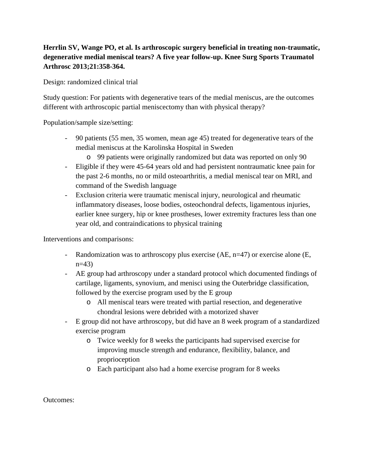## **Herrlin SV, Wange PO, et al. Is arthroscopic surgery beneficial in treating non-traumatic, degenerative medial meniscal tears? A five year follow-up. Knee Surg Sports Traumatol Arthrosc 2013;21:358-364.**

Design: randomized clinical trial

Study question: For patients with degenerative tears of the medial meniscus, are the outcomes different with arthroscopic partial meniscectomy than with physical therapy?

Population/sample size/setting:

- 90 patients (55 men, 35 women, mean age 45) treated for degenerative tears of the medial meniscus at the Karolinska Hospital in Sweden
	- o 99 patients were originally randomized but data was reported on only 90
- Eligible if they were 45-64 years old and had persistent nontraumatic knee pain for the past 2-6 months, no or mild osteoarthritis, a medial meniscal tear on MRI, and command of the Swedish language
- Exclusion criteria were traumatic meniscal injury, neurological and rheumatic inflammatory diseases, loose bodies, osteochondral defects, ligamentous injuries, earlier knee surgery, hip or knee prostheses, lower extremity fractures less than one year old, and contraindications to physical training

Interventions and comparisons:

- Randomization was to arthroscopy plus exercise  $(AE, n=47)$  or exercise alone  $(E, n=47)$ n=43)
- AE group had arthroscopy under a standard protocol which documented findings of cartilage, ligaments, synovium, and menisci using the Outerbridge classification, followed by the exercise program used by the E group
	- o All meniscal tears were treated with partial resection, and degenerative chondral lesions were debrided with a motorized shaver
- E group did not have arthroscopy, but did have an 8 week program of a standardized exercise program
	- o Twice weekly for 8 weeks the participants had supervised exercise for improving muscle strength and endurance, flexibility, balance, and proprioception
	- o Each participant also had a home exercise program for 8 weeks

Outcomes: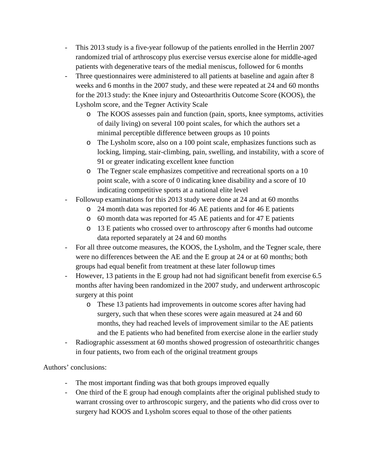- This 2013 study is a five-year followup of the patients enrolled in the Herrlin 2007 randomized trial of arthroscopy plus exercise versus exercise alone for middle-aged patients with degenerative tears of the medial meniscus, followed for 6 months
- Three questionnaires were administered to all patients at baseline and again after 8 weeks and 6 months in the 2007 study, and these were repeated at 24 and 60 months for the 2013 study: the Knee injury and Osteoarthritis Outcome Score (KOOS), the Lysholm score, and the Tegner Activity Scale
	- o The KOOS assesses pain and function (pain, sports, knee symptoms, activities of daily living) on several 100 point scales, for which the authors set a minimal perceptible difference between groups as 10 points
	- o The Lysholm score, also on a 100 point scale, emphasizes functions such as locking, limping, stair-climbing, pain, swelling, and instability, with a score of 91 or greater indicating excellent knee function
	- o The Tegner scale emphasizes competitive and recreational sports on a 10 point scale, with a score of 0 indicating knee disability and a score of 10 indicating competitive sports at a national elite level
- Followup examinations for this 2013 study were done at 24 and at 60 months
	- o 24 month data was reported for 46 AE patients and for 46 E patients
	- o 60 month data was reported for 45 AE patients and for 47 E patients
	- o 13 E patients who crossed over to arthroscopy after 6 months had outcome data reported separately at 24 and 60 months
- For all three outcome measures, the KOOS, the Lysholm, and the Tegner scale, there were no differences between the AE and the E group at 24 or at 60 months; both groups had equal benefit from treatment at these later followup times
- However, 13 patients in the E group had not had significant benefit from exercise 6.5 months after having been randomized in the 2007 study, and underwent arthroscopic surgery at this point
	- o These 13 patients had improvements in outcome scores after having had surgery, such that when these scores were again measured at 24 and 60 months, they had reached levels of improvement similar to the AE patients and the E patients who had benefited from exercise alone in the earlier study
- Radiographic assessment at 60 months showed progression of osteoarthritic changes in four patients, two from each of the original treatment groups

Authors' conclusions:

- The most important finding was that both groups improved equally
- One third of the E group had enough complaints after the original published study to warrant crossing over to arthroscopic surgery, and the patients who did cross over to surgery had KOOS and Lysholm scores equal to those of the other patients